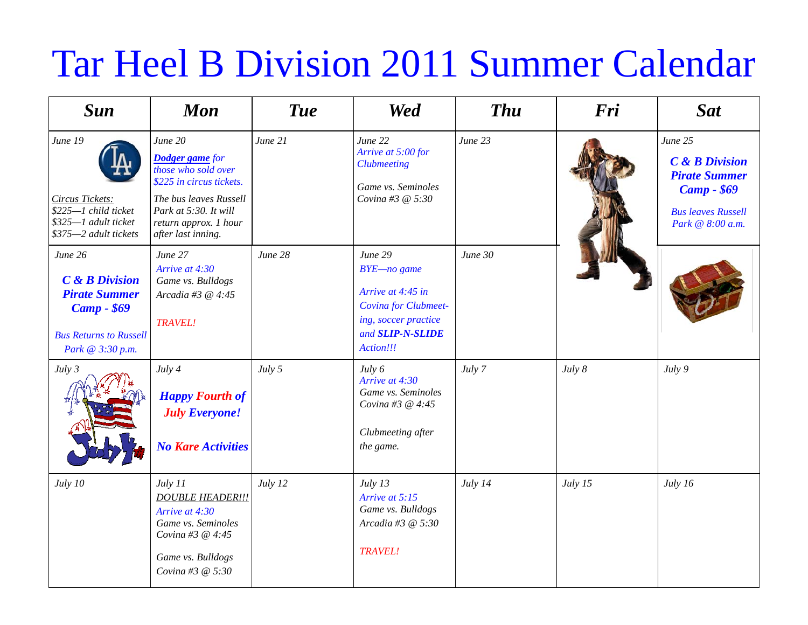## Tar Heel B Division 2011 Summer Calendar

| <b>Sun</b>                                                                                                                                 | <b>Mon</b>                                                                                                                                                                             | <b>Tue</b> | <b>Wed</b>                                                                                                                          | <b>Thu</b> | Fri     | <b>Sat</b>                                                                                                                             |
|--------------------------------------------------------------------------------------------------------------------------------------------|----------------------------------------------------------------------------------------------------------------------------------------------------------------------------------------|------------|-------------------------------------------------------------------------------------------------------------------------------------|------------|---------|----------------------------------------------------------------------------------------------------------------------------------------|
| June 19<br><b>Circus Tickets:</b><br>\$225-1 child ticket<br>\$325-1 adult ticket<br>\$375-2 adult tickets                                 | June 20<br><b>Dodger game</b> for<br>those who sold over<br>\$225 in circus tickets.<br>The bus leaves Russell<br>Park at 5:30. It will<br>return approx. 1 hour<br>after last inning. | June 21    | June 22<br>Arrive at 5:00 for<br><b>Clubmeeting</b><br>Game vs. Seminoles<br>Covina #3 @ 5:30                                       | June 23    |         | June 25<br><b>C</b> & <b>B</b> Division<br><b>Pirate Summer</b><br><b>Camp - \$69</b><br><b>Bus leaves Russell</b><br>Park @ 8:00 a.m. |
| June 26<br><b>C</b> & <b>B</b> Division<br><b>Pirate Summer</b><br><b>Camp - \$69</b><br><b>Bus Returns to Russell</b><br>Park @ 3:30 p.m. | June 27<br>Arrive at 4:30<br>Game vs. Bulldogs<br>Arcadia #3 @ 4:45<br><b>TRAVEL!</b>                                                                                                  | June 28    | June 29<br>BYE-no game<br>Arrive at 4:45 in<br>Covina for Clubmeet-<br>ing, soccer practice<br>and <b>SLIP-N-SLIDE</b><br>Action!!! | June 30    |         |                                                                                                                                        |
| July 3                                                                                                                                     | July 4<br><b>Happy Fourth of</b><br><b>July Everyone!</b><br><b>No Kare Activities</b>                                                                                                 | July 5     | July 6<br>Arrive at 4:30<br>Game vs. Seminoles<br>Covina #3 @ 4:45<br>Clubmeeting after<br>the game.                                | July 7     | July 8  | July 9                                                                                                                                 |
| July 10                                                                                                                                    | July 11<br><b>DOUBLE HEADER !!!</b><br>Arrive at 4:30<br>Game vs. Seminoles<br>Covina #3 @ 4:45<br>Game vs. Bulldogs<br>Covina #3 @ 5:30                                               | July 12    | July 13<br>Arrive at 5:15<br>Game vs. Bulldogs<br>Arcadia #3 @ 5:30<br><b>TRAVEL!</b>                                               | July 14    | July 15 | July 16                                                                                                                                |